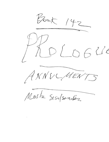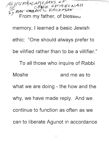$M$   $M$   $M$   $M$   $N$   $N$   $N$   $N$   $N$   $N$   $N$   $N$   $N$ F. RAY EABNUEL RACKEST  $\overline{a}$  From my father, of blesseu memory, I learned a basic Jewish ethic: "One should always prefer to be vilified rather than to be a villifier." To all those who inquire of Rabbi Moshe and me as to what we are doing - the how and the why, we have made reply. And we continue to function as often as we can to liberate Agunot in accordance

 $\mathbf{I}$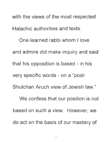with the views of the most respected Halachic authorities and texts, One learned rabbi whom I love and admire did make inquiry and said

that his opposition is based - in his

very specific words - on a "post-

Shulchan Aruch view of Jewish law."

We confess that our position is not based on such a view, However, we do act on the basis of our mastery of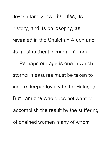Jewish family law - its rules, its history, and its philosophy, as revealed in the Shulchan Aruch and its most authentic commentators. Perhaps our age is one in which sterner measures must be taken to insure deeper loyalty to the Halacha. But I am one who does not want to accomplish the result by the suffering of chained women many of whom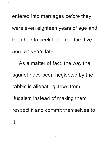entered into marriages before they were even eighteen years of age and then had to seek their freedom five and ten years later.

As a matter of fact, the way the agunot have been neglected by the rabbis is alienating Jews from Judaism instead of making them respect it and commit themselves to it.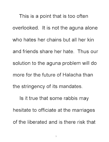This is a point that is too often overlooked. It is not the aguna alone who hates her chains but all her kin and friends share her hate. Thus our solution to the aguna problem will do more for the future of Halacha than the stringency of its mandates. Is it true that some rabbis may hesitate to officiate at the marriages

of the liberated and is there risk that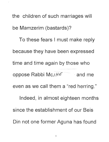the children of such marriages will be Mamzerim (bastards)? To these fears I must make reply because they have been expressed time and time again by those who oppose Rabbi Mos $H \in$  and me even as we call them a "red herring." Indeed, in almost eighteen months since the establishment of our Beis Din not one former Aguna has found

 $\mathbb{R}^n \times \mathbb{R}^n$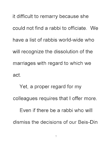it difficult to remarry because she could not find a rabbi to officiate. We have a list of rabbis world-wide who will recognize the dissolution of the marriages with regard to which we act.

Yet, a proper regard for my colleagues requires that I offer more. Even if there be a rabbi who will dismiss the decisions of our Beis-Din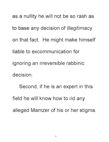as a nullity he will not be so rash as to base any decision of illegitimacy on that fact. He might make himself liable to excommunication for ignoring an irreversible rabbinic decision.

Second, if he is an expert in this field he will know how to rid any alleged Mamzer of his or her stigma.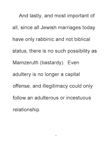And lastly, and most important of all, since all Jewish marriages today have only rabbinic and not biblical status, there is no such possibility as Mamzeruth (bastardy). Even adultery is no longer a capital offense, and illegitimacy could only follow an adulterous or incestuous relationship.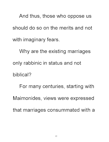And thus, those who oppose us should do so on the merits and not with imaginary fears.

Why are the existing marriages only rabbinic in status and not biblical? For many centuries, starting with Maimonides, views were expressed that marriages consummated with a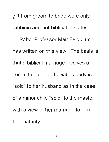gift from groom to bride were only rabbinic and not biblical in status. Rabbi Professor Meir Feldblum has written on this view. The basis is that a biblical marriage involves a commitment that the wife's body is "sold" to her husband as in the case of a minor child "sold" to the master with a view to her marriage to him in her maturity.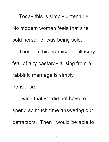Today this is simply untenable. No modern woman feels that she sold herself or was being sold. Thus, on this premise the illusory fear of any bastardy arising from a

rabbinic marriage is simply

nonsense.

I wish that we did not have to spend so much time answering our detractors. Then I would be able to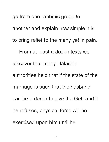go from one rabbinic group to another and explain how simple it is to bring relief to the many yet in pain. From at least a dozen texts we discover that many Halachic authorities held that if the state of the marriage is such that the husband can be ordered. to give the Get, and if he refuses, physical force will be exercised upon him until he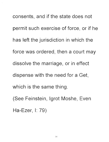consents, and if the state does not permit such exercise of force, or if he has left the jurisdiction in which the force was ordered, then a court may dissolve the marriage, or in effect dispense with the need for a Get, which is the same thing. (See Feinstein, Igrot Moshe, Even

Ha-Ezer, I: 79)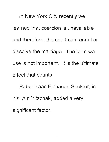In New York City recently we learned that coercion is unavailable and therefore, the court can annul or dissolve the marriage. The term we use is not important. It is the ultimate effect that counts.

Rabbi Isaac Elchanan Spektor, in his, Ain Yitzchak, added a very significant factor.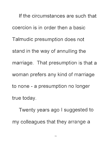If the circumstances are such that coercion is in order then a basic Talmudic presumption does not stand in the way of annulling the marriage. That presumption is that a woman prefers any kind of marriage to none - a presumption no longer true today.

Twenty years ago I suggested to my colleagues that they arrange a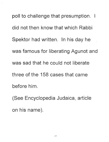poll to challenge that presumption. I did not then know that which Rabbi Spektor had written. In his day he was famous for liberating Agunot and was sad that he could not liberate three of the 158 cases that came before him.

(See Encyclopedia Judaica, article on his name).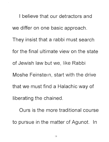I believe that our detractors and we differ on one basic approach. They insist that a rabbi must search for the final ultimate view on the state of Jewish law but we, like Rabbi Moshe Feinstein, start with the drive that we must find a Halachic way of liberating the chained.

Ours is the more traditional course to pursue in the matter of Agunot. In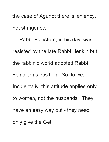the case of Agunot there is leniency, not stringency.

Rabbi Feinstern, in his day, was resisted by the late Rabbi Henkin but the rabbinic world adopted Rabbi Feinstern's position. So do we. Incidentally, this attitude applies only to women, not the husbands. They have an easy way out - they need only give the Get.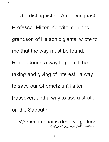The distinguished American jurist Professor Milton Konvitz, son and grandson of Halachic giants, wrote to me that the way must be found. Rabbis found a way to permit the taking and giving of interest; a way to save our Chometz until after Passover, and a way to use a stroller on the Sabbath.

Women in chains deserve no less.<br>Eran vez Rackman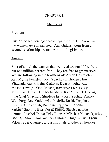## CHAPTER II

## Mamzarus

## Problem

One of the red herrings thrown against our Bet Din is that the women are still married. Any children born from a second relationship are mamzarum - illegitimate.

## Answer

First of all, <u>all</u> the women that we freed are not 100% free, but one million percent free. They are free to get married. We are following in the footsteps of: Aruch Hashulchon, Ray Moshe Feinstein, Ray Yitzchok Elchonen , Ein Yitzchok, Ray Eliyahu Klatzkin, DYar Eliyohu, Ray Moshe Tzweig - Ohel Moshe, Rav Arye Leib Tzwz Meshiyas Nefesh, The Meharsham, Ray Yitzchak Herzog - the Ohel Yitzchok, Shrideye Esh - Ray Yechno Yaakoy Weinberg, Ray Yudelowitz, Mahrik, Rashi, Tosphos, Rashba, Ohr Zeruah, Rambam, Ramban, Rabonen Sarb 88, Gaonim, Bais Yosef, Rasno, Shach Taz Bris Shmuel, Pischei Tsuvo, Tzitz Eliezer, Minchas Yitzchok,  $\beta$ 4/5  $\alpha$ Bais Ovi, Shoel Umaisiv, Rav Shlomo Kluger - Tiv Team V doas, S dei Chemed, and a multitude of other authorities

.J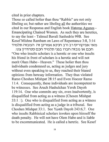cited in prior chapters.

Those so called holier than thou "Rabbis" are not only libeling us; but rather are libeling all the authorities we cited in our Responsa and English book Hatoras Agunos - Emancipating Chained Women. As such they are heretics, to say the least - Talmud Bavali Sanhedrin 99B. See Kesef Mishne Rambam on Laws of Repentance 3:8, 3:14 מאי אפיקוריס רב ורב חנינא אמרינן זה המבזה תלמיד

: חכם או מבזה חברו בפני תלמיד חכם סנהדרין צט "One who insults scholars is a heretic or one who insults his friend in front of scholars is a heretic and will not merit Olam Habo - Heaven." These holier then thou individuals condemned us, acting as judges and jury without even speaking to us, they reached their biased opinions from heresay information. They thus violated Ramo Choshen Mishpat 28:15 and Even Hoezer Ramo 11 :4. Consequently, these individuals are incompetent to be witnesses. See Aruch Hashulchan Yereh Dayoh 119:14. One who commits any sin, even inadvertently, is disqualified from acting as a witness (Chosen Mishpat 33:1.2). One who is disqualified from acting as a witness is disqualified from acting as a judge in a tribunal. See Choshen Mishpat 33:1. See Yorch Dayoh 243:6,7. One who insults Rabbinical scholars invokes upon himself the death penalty. He will not have Olem Habo and is liable to be excommunicated. He is called a heretic. See Kesef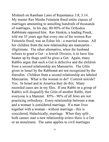Mishneh on Rambam Laws of Repentance 3:8,3:14. My master Rav Moshe Feinstein freed entire classes of marriages amounting to annulling hundreds of thousands of marriages. In his day, 80-90% of the Orthodox Rabbinate opposed him. Rav Henkin, a leading Posek, told me 35 years ago that every one of the women Rav Feinstein freed, was an Eshes Ish - a married woman. All her children from the new relationship are mamzarim illigitimate. The other alternative, when the husband refuses to grant a Get - a Jewish Divorce, is to have him beaten up by thugs until he gives a Get. Again, many Rabbis argue that such a Get is defective and the children from a second relationship are Mamzarim. The Gitin given in Israel by the Rabbonut are not recognized by the Haredim. Children from a second relationship are labeled Mamzarim. What is the woman to do? Commit suicide? Yes. In Israel and in America they do this. Many recorded cases are in my files. If one Rabbi or a group of Rabbis will disqualify the Gitin of another Rabbi, then everyone is a Mamzer. 85% - 90% of all Jews are not practicing orthodoxy. Every relationship between a man and a woman is considered marriage. If a man lives together with a woman - without marriage - this is considered, Halachically, marriage. When they split, both cannot start a new relationship unless there is a Get or an annulment. The same applies to civil marriages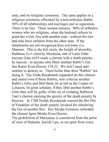only, and no religious ceremony. The same applies to a religious ceremony officiated by a non-orthodox Rabbi. 50% of all relationships and marriages end in separation. There is no Get. These women remarry. 90% of orthodox women who are religious, when the husband refuses to grant her a Get, live with another man - without the Get and may have children from the other man. If the annulments are not recognized then everyone is a Mamzer. This is the full circle, the height of absurdity. Rabbenu Tam cited by Mordecai, end of Laws Gitin tractate Gitin #455 made a cherem with a death penalty by heaven - to anyone who libels another Rabbi's Get. See Ramo Even Hoezer 154:22. We don't need antisemites to destroy us. These holier than thou "Rabbis" are doing it. The Noda Beyahudoh expanded on this cherem and stated even if those Rabbis, who criticize another Rabbi's Gitin and libel them, be as tall as the Cedars of Lebanon, be great scholars, if they libel another Rabbi's Gitin they will be guilty of the sin of violating Rabbeim Tam's cherem carrying the gravity of the death penalty by Heaven. In 1768 Nodah Beyohudah warned the Bet Din of Frankfort of the death penalty invoked for slandering the Get of another Rav. Rav Moshe Feinstein reiterated the cherem Igros Moshe Even Hoezer.

The prohibition of Mamzaras is considered from the point of view of Halacha, Jewish Law, as set apart from every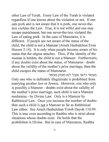other Law of Torah. Every Law of the Torah is violated regardless if one knows about the violation or not. If one eats pork and is not aware that it is pork, one never-theless violates the Law. True, it is not wilful and one may escape punishment, but one never-the-less violated the Law of eating pork. In the case of Mamzares, it is different. If people are not aware of the status of the child, the child is not a Mamzar (Aruch Hashulchon Even Hoezer 2:14). It is only when people become aware of his status that the stigma attaches. Thus, if the identity of the woman is hidden, the child is not a Mamzer. Furthermore, if any doubts exist about the status, of Mamzarus - doubt about the validity of the mother's prior marriage, then the child escapes the status of Mamzarus.

ממזר ודאי אבל לא ספק ממזר Only one who is definitely illegitimate is prohibited from marrying another Jew or Jewess. However, one who only is possibly a Mamzer - doubts exist about the validity of the mother's prior marriage, such child is not a Mamzer meduraisa - by Divine Law. Only is a Mamzer by Rabbinical Law. Once you increase the number of doubts then such a child is not a Mamzer as far as Rabbinical Law either. See Aruch Hashulchun Yoreh Dayoh 110:99. This is true even according to Rashba who is strict about situations whose doubts exist. He holds that the prohibition is Divine. But in case of Mamzarus, Rashba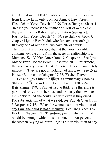admits that in doubtful situations the child is not a mamzer from Divine Law; only from Rabbinical Law; Aruch Hashulchun Yoreh Dayoh 110:90 Torus Habayas Shaar 4. In case you increase the number of Doubts in the case, there isn't even a Rabbinical prohibition (see Aruch Hashulchon Yoreh Deyoh 110:99; see Bais Ov Book 7, chapter  $11$ *from Rav Yudelowitz for same reasoning*). In every one of our cases, we have 20-30 doubts. Therefore, it is impossible that, at the worst possible contingency, the child from the second relationship is a Mamzer. See Yabiah Omer Book 7, Chapter 6. See Igros Moshe Even Hoezer Book 6 Responsa 20. Furthermore, the women rely on our legal opinion. They are completely innocent. They are not in violation of any Law. See Even Hoezer Ramo end of chapter 17:58, Pischei Tsuvoh 17:175 and Rav Shlomo Klinger's commentary Chomas Shlomo 17: See also Even Hoezer chapter 178:3 Ramo Bais Shmuel 178:4, Pirchei Tsuvo Ibid. She therefore is permitted to return to her husband or marry the new man the Rabbis ruled she could live with even if they erred. For substantiation of what we said, see Yabiah Oner Book 3 Responsa 7: 16. When the women is not in violation of any Law, the child is not a Mamzer. See Oneg Yom Tov Book 2, Chapter 121. Therefore, even if what we ruled would be wrong - which it is not - one million percent the woman relying on our rulings is not in violation of any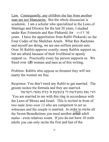Law. Consequently, any children she has from another man are not Mamzarim. But the whole discussion is academic. I am a scholar who specialized in the Laws of Marriage and Divorce for the last 30 years. I studied under Rav Feinstein and Rav Piekarski for . *ove* R 30 years. I have the approbation from Rabbi Piekarski on the Four Codes of the Shulchan Aruch. What Rav Rackman and myself are doing, we are one million percent sure. Over 30 Rabbis approve overtly; many Rabbis support us, but are afraid because of their livelihood to openly support us. Practically every lay person supports us. We freed over  $180$  women and men as of this writing.

Problem: Rabbis who oppose us threaten they will not marry the women we free.

Response: You don't need any Rabbi to get married. The groom recites the formula and they are married.

הרי את מקודשת לי בטבעת זו כדת משה וישראל You are married to me with this ring in accordance with the Laws of Moses and Israel. This is recited in front of two male Jews over 13 who are competent to act as witnesses and the couple is married. In order to recite all the Seven Benedictions you need another seven adult males - even relatives count. If you do not have 10 male adults you can only recite the first and last of the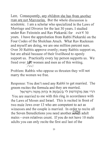Law. Consequently, any children she has from another man are not Mamzarim. But the whole discussion is academic. I am a scholar who specialized in the Laws of Marriage and Divorce for the last 30 years. I studied under Rav Feinstein and Rav Piekarski for  $\alpha$ v ER 30 years. I have the approbation from Rabbi Piekarski on the Four Codes of the Shulchan Aruch. What Ray Rackman and myself are doing, we are one million percent sure. Over 30 Rabbis approve overtly; many Rabbis support us, but are afraid because of their livelihood to openly support us. Practically every lay person supports us. We freed over  $180$  women and men as of this writing.  $200$ 

Problem: Rabbis who oppose us threaten they will not marry the women we free.

Response: You don't need any Rabbi to get married. The groom recites the formula and they are married.

הרי את מקודשת לי בטבעת **זו** כדת משה וישראל You are married to me with this ring in accordance with the Laws of Moses and Israel. This is recited in front of two male Jews over 13 who are competent to act as witnesses and the couple is married. In order to recite all the Seven Benedictions you need another seven adult males - even relatives count. If you do not have 10 male adults you can only recite the frrst and last of the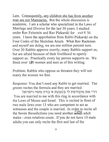Law. Consequently, any children she has from another man are not Mamzarim. But the whole discussion is academic. I am a scholar who specialized in the Laws of Marriage and Divorce for the last 30 years. I studied under Rav Feinstein and Rav Piekarski for  $\alpha$ v ER 30 years. I have the approbation from Rabbi Piekarski on the Four Codes of the Shulchan Aruch. What Rav Rackman and myself are doing, we are one million percent sure. Over 30 Rabbis approve overtly; many Rabbis support us, but are afraid because of their livelihood to openly support us. Practically every lay person supports us. We freed over 130 women and men as of this writing.

Problem: Rabbis who oppose us threaten they will not marry the women we free.

Response: You don't need any Rabbi to get married. The groom recites the formula and they are married.

הרי את מקודשת לי בטבעת זו כדת משה וישראל You are married to me with this ring in accordance with the Laws of Moses and Israel. This is recited in front of two male Jews over 13 who are competent to act as witnesses and the couple is married. In order to recite all the Seven Benedictions you need another seven adult males - even relatives count. If you do not have 10 male adults you can only recite the first and last of the